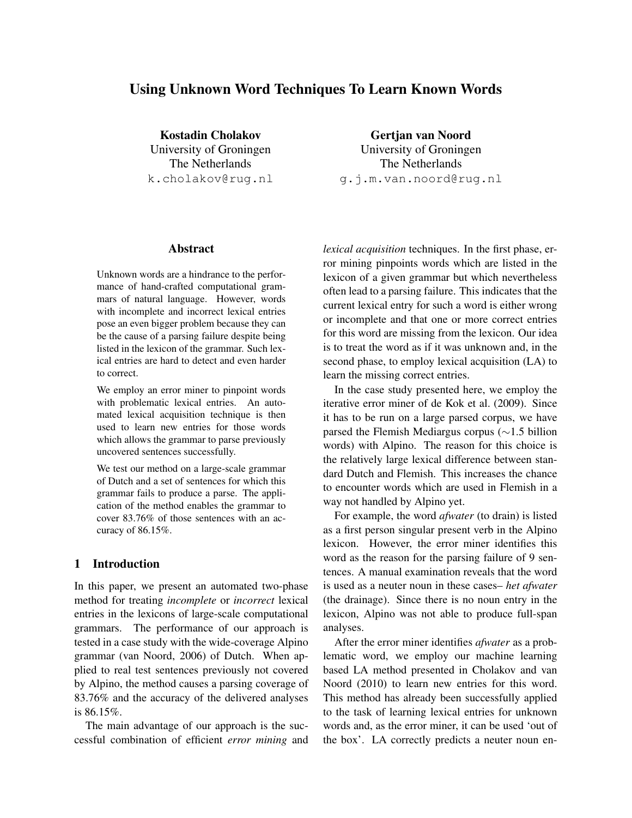# Using Unknown Word Techniques To Learn Known Words

Kostadin Cholakov University of Groningen The Netherlands k.cholakov@rug.nl

Abstract

Unknown words are a hindrance to the performance of hand-crafted computational grammars of natural language. However, words with incomplete and incorrect lexical entries pose an even bigger problem because they can be the cause of a parsing failure despite being listed in the lexicon of the grammar. Such lexical entries are hard to detect and even harder to correct.

We employ an error miner to pinpoint words with problematic lexical entries. An automated lexical acquisition technique is then used to learn new entries for those words which allows the grammar to parse previously uncovered sentences successfully.

We test our method on a large-scale grammar of Dutch and a set of sentences for which this grammar fails to produce a parse. The application of the method enables the grammar to cover 83.76% of those sentences with an accuracy of 86.15%.

## 1 Introduction

In this paper, we present an automated two-phase method for treating *incomplete* or *incorrect* lexical entries in the lexicons of large-scale computational grammars. The performance of our approach is tested in a case study with the wide-coverage Alpino grammar (van Noord, 2006) of Dutch. When applied to real test sentences previously not covered by Alpino, the method causes a parsing coverage of 83.76% and the accuracy of the delivered analyses is 86.15%.

The main advantage of our approach is the successful combination of efficient *error mining* and

Gertjan van Noord University of Groningen The Netherlands g.j.m.van.noord@rug.nl

*lexical acquisition* techniques. In the first phase, error mining pinpoints words which are listed in the lexicon of a given grammar but which nevertheless often lead to a parsing failure. This indicates that the current lexical entry for such a word is either wrong or incomplete and that one or more correct entries for this word are missing from the lexicon. Our idea is to treat the word as if it was unknown and, in the second phase, to employ lexical acquisition (LA) to learn the missing correct entries.

In the case study presented here, we employ the iterative error miner of de Kok et al. (2009). Since it has to be run on a large parsed corpus, we have parsed the Flemish Mediargus corpus (∼1.5 billion words) with Alpino. The reason for this choice is the relatively large lexical difference between standard Dutch and Flemish. This increases the chance to encounter words which are used in Flemish in a way not handled by Alpino yet.

For example, the word *afwater* (to drain) is listed as a first person singular present verb in the Alpino lexicon. However, the error miner identifies this word as the reason for the parsing failure of 9 sentences. A manual examination reveals that the word is used as a neuter noun in these cases– *het afwater* (the drainage). Since there is no noun entry in the lexicon, Alpino was not able to produce full-span analyses.

After the error miner identifies *afwater* as a problematic word, we employ our machine learning based LA method presented in Cholakov and van Noord (2010) to learn new entries for this word. This method has already been successfully applied to the task of learning lexical entries for unknown words and, as the error miner, it can be used 'out of the box'. LA correctly predicts a neuter noun en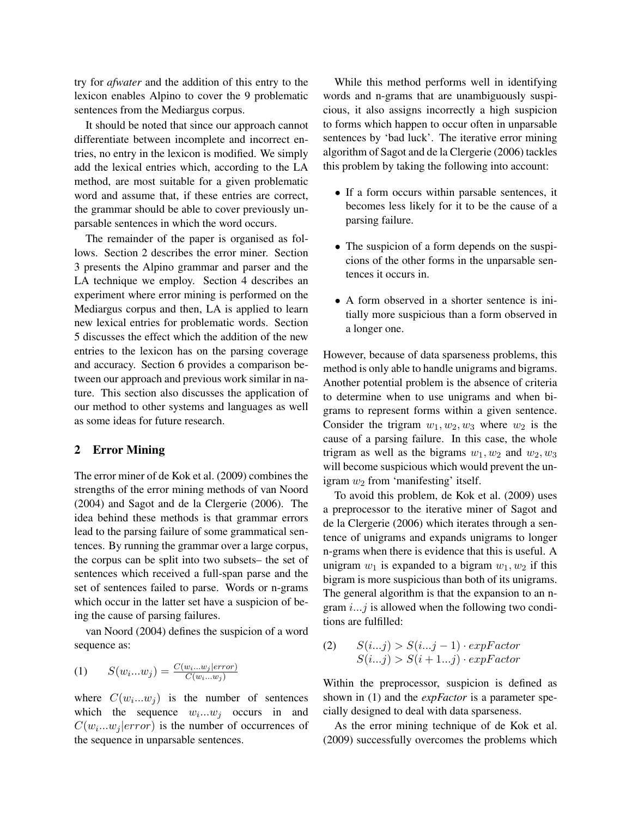try for *afwater* and the addition of this entry to the lexicon enables Alpino to cover the 9 problematic sentences from the Mediargus corpus.

It should be noted that since our approach cannot differentiate between incomplete and incorrect entries, no entry in the lexicon is modified. We simply add the lexical entries which, according to the LA method, are most suitable for a given problematic word and assume that, if these entries are correct, the grammar should be able to cover previously unparsable sentences in which the word occurs.

The remainder of the paper is organised as follows. Section 2 describes the error miner. Section 3 presents the Alpino grammar and parser and the LA technique we employ. Section 4 describes an experiment where error mining is performed on the Mediargus corpus and then, LA is applied to learn new lexical entries for problematic words. Section 5 discusses the effect which the addition of the new entries to the lexicon has on the parsing coverage and accuracy. Section 6 provides a comparison between our approach and previous work similar in nature. This section also discusses the application of our method to other systems and languages as well as some ideas for future research.

### 2 Error Mining

The error miner of de Kok et al. (2009) combines the strengths of the error mining methods of van Noord (2004) and Sagot and de la Clergerie (2006). The idea behind these methods is that grammar errors lead to the parsing failure of some grammatical sentences. By running the grammar over a large corpus, the corpus can be split into two subsets– the set of sentences which received a full-span parse and the set of sentences failed to parse. Words or n-grams which occur in the latter set have a suspicion of being the cause of parsing failures.

van Noord (2004) defines the suspicion of a word sequence as:

$$
(1) \qquad S(w_i...w_j) = \frac{C(w_i...w_j|error)}{C(w_i...w_j)}
$$

where  $C(w_i...w_j)$  is the number of sentences which the sequence  $w_i...w_j$  occurs in and  $C(w_i...w_j|error)$  is the number of occurrences of the sequence in unparsable sentences.

While this method performs well in identifying words and n-grams that are unambiguously suspicious, it also assigns incorrectly a high suspicion to forms which happen to occur often in unparsable sentences by 'bad luck'. The iterative error mining algorithm of Sagot and de la Clergerie (2006) tackles this problem by taking the following into account:

- If a form occurs within parsable sentences, it becomes less likely for it to be the cause of a parsing failure.
- The suspicion of a form depends on the suspicions of the other forms in the unparsable sentences it occurs in.
- A form observed in a shorter sentence is initially more suspicious than a form observed in a longer one.

However, because of data sparseness problems, this method is only able to handle unigrams and bigrams. Another potential problem is the absence of criteria to determine when to use unigrams and when bigrams to represent forms within a given sentence. Consider the trigram  $w_1, w_2, w_3$  where  $w_2$  is the cause of a parsing failure. In this case, the whole trigram as well as the bigrams  $w_1, w_2$  and  $w_2, w_3$ will become suspicious which would prevent the unigram  $w_2$  from 'manifesting' itself.

To avoid this problem, de Kok et al. (2009) uses a preprocessor to the iterative miner of Sagot and de la Clergerie (2006) which iterates through a sentence of unigrams and expands unigrams to longer n-grams when there is evidence that this is useful. A unigram  $w_1$  is expanded to a bigram  $w_1, w_2$  if this bigram is more suspicious than both of its unigrams. The general algorithm is that the expansion to an ngram  $i...j$  is allowed when the following two conditions are fulfilled:

(2)  $S(i...j) > S(i...j-1) \cdot expFactor$  $S(i...j) > S(i+1...j) \cdot expFactor$ 

Within the preprocessor, suspicion is defined as shown in (1) and the *expFactor* is a parameter specially designed to deal with data sparseness.

As the error mining technique of de Kok et al. (2009) successfully overcomes the problems which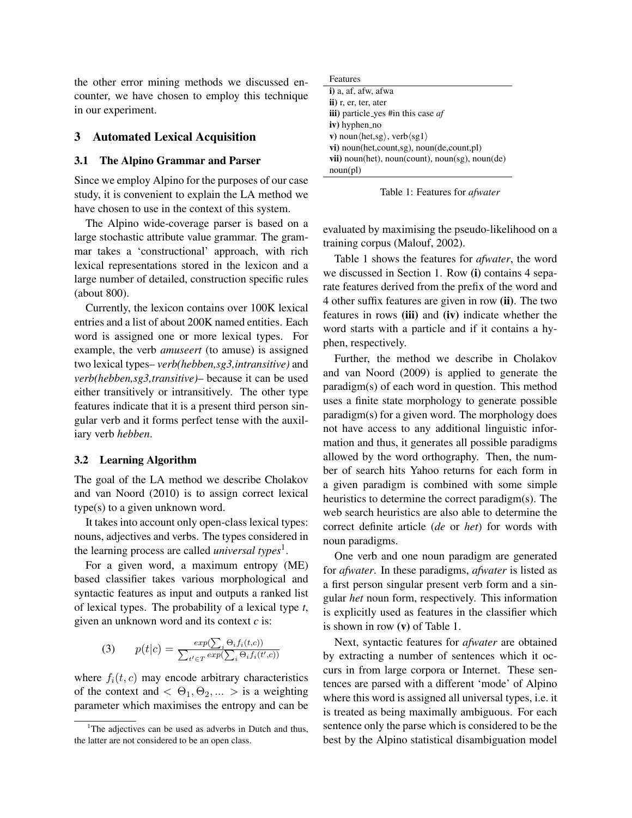the other error mining methods we discussed encounter, we have chosen to employ this technique in our experiment.

#### 3 Automated Lexical Acquisition

#### 3.1 The Alpino Grammar and Parser

Since we employ Alpino for the purposes of our case study, it is convenient to explain the LA method we have chosen to use in the context of this system.

The Alpino wide-coverage parser is based on a large stochastic attribute value grammar. The grammar takes a 'constructional' approach, with rich lexical representations stored in the lexicon and a large number of detailed, construction specific rules (about 800).

Currently, the lexicon contains over 100K lexical entries and a list of about 200K named entities. Each word is assigned one or more lexical types. For example, the verb *amuseert* (to amuse) is assigned two lexical types– *verb(hebben,sg3,intransitive)* and *verb(hebben,sg3,transitive)*– because it can be used either transitively or intransitively. The other type features indicate that it is a present third person singular verb and it forms perfect tense with the auxiliary verb *hebben*.

#### 3.2 Learning Algorithm

The goal of the LA method we describe Cholakov and van Noord (2010) is to assign correct lexical type(s) to a given unknown word.

It takes into account only open-class lexical types: nouns, adjectives and verbs. The types considered in the learning process are called *universal types*<sup>1</sup> .

For a given word, a maximum entropy (ME) based classifier takes various morphological and syntactic features as input and outputs a ranked list of lexical types. The probability of a lexical type *t*, given an unknown word and its context *c* is:

(3) 
$$
p(t|c) = \frac{exp(\sum_i \Theta_i f_i(t,c))}{\sum_{t' \in T} exp(\sum_i \Theta_i f_i(t',c))}
$$

where  $f_i(t, c)$  may encode arbitrary characteristics of the context and  $< \Theta_1, \Theta_2, \ldots >$  is a weighting parameter which maximises the entropy and can be

| Features                                                          |
|-------------------------------------------------------------------|
| i) a, af, afw, afwa                                               |
| $\mathbf{ii}$ ) r, er, ter, ater                                  |
| <b>iii</b> ) particle_yes #in this case af                        |
| $iv)$ hyphen_no                                                   |
| v) noun $\langle$ het,sg $\rangle$ , verb $\langle$ sg $1\rangle$ |
| $vi)$ noun(het, count, sg), noun(de, count, pl)                   |
| <b>vii</b> ) noun(het), noun(count), noun(sg), noun(de)           |
| noun(pl)                                                          |

Table 1: Features for *afwater*

evaluated by maximising the pseudo-likelihood on a training corpus (Malouf, 2002).

Table 1 shows the features for *afwater*, the word we discussed in Section 1. Row (i) contains 4 separate features derived from the prefix of the word and 4 other suffix features are given in row (ii). The two features in rows (iii) and (iv) indicate whether the word starts with a particle and if it contains a hyphen, respectively.

Further, the method we describe in Cholakov and van Noord (2009) is applied to generate the paradigm(s) of each word in question. This method uses a finite state morphology to generate possible paradigm(s) for a given word. The morphology does not have access to any additional linguistic information and thus, it generates all possible paradigms allowed by the word orthography. Then, the number of search hits Yahoo returns for each form in a given paradigm is combined with some simple heuristics to determine the correct paradigm(s). The web search heuristics are also able to determine the correct definite article (*de* or *het*) for words with noun paradigms.

One verb and one noun paradigm are generated for *afwater*. In these paradigms, *afwater* is listed as a first person singular present verb form and a singular *het* noun form, respectively. This information is explicitly used as features in the classifier which is shown in row (v) of Table 1.

Next, syntactic features for *afwater* are obtained by extracting a number of sentences which it occurs in from large corpora or Internet. These sentences are parsed with a different 'mode' of Alpino where this word is assigned all universal types, i.e. it is treated as being maximally ambiguous. For each sentence only the parse which is considered to be the best by the Alpino statistical disambiguation model

<sup>&</sup>lt;sup>1</sup>The adjectives can be used as adverbs in Dutch and thus, the latter are not considered to be an open class.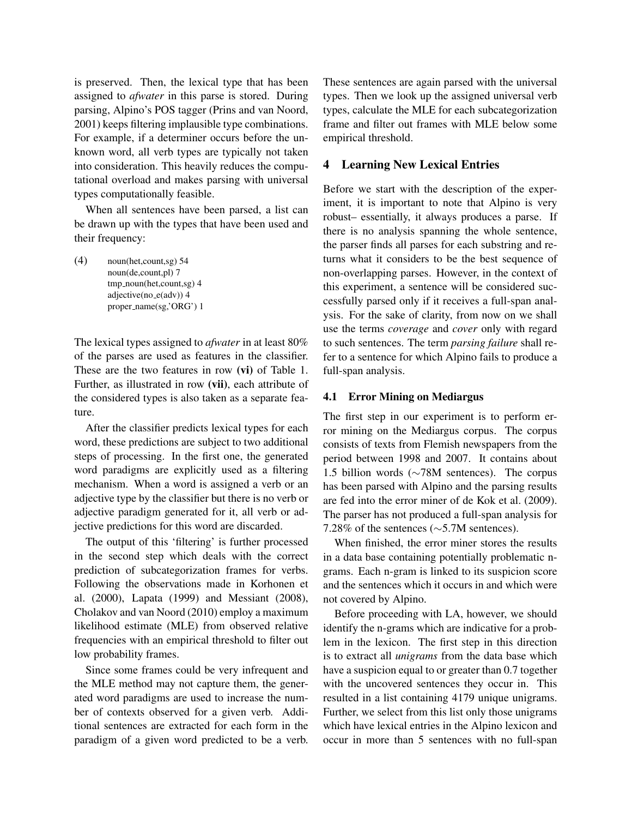is preserved. Then, the lexical type that has been assigned to *afwater* in this parse is stored. During parsing, Alpino's POS tagger (Prins and van Noord, 2001) keeps filtering implausible type combinations. For example, if a determiner occurs before the unknown word, all verb types are typically not taken into consideration. This heavily reduces the computational overload and makes parsing with universal types computationally feasible.

When all sentences have been parsed, a list can be drawn up with the types that have been used and their frequency:

(4) noun(het,count,sg) 54 noun(de,count,pl) 7 tmp\_noun(het,count,sg) 4  $adjective(no_e(adv))$  4 proper\_name(sg,'ORG') 1

The lexical types assigned to *afwater* in at least 80% of the parses are used as features in the classifier. These are the two features in row (vi) of Table 1. Further, as illustrated in row (vii), each attribute of the considered types is also taken as a separate feature.

After the classifier predicts lexical types for each word, these predictions are subject to two additional steps of processing. In the first one, the generated word paradigms are explicitly used as a filtering mechanism. When a word is assigned a verb or an adjective type by the classifier but there is no verb or adjective paradigm generated for it, all verb or adjective predictions for this word are discarded.

The output of this 'filtering' is further processed in the second step which deals with the correct prediction of subcategorization frames for verbs. Following the observations made in Korhonen et al. (2000), Lapata (1999) and Messiant (2008), Cholakov and van Noord (2010) employ a maximum likelihood estimate (MLE) from observed relative frequencies with an empirical threshold to filter out low probability frames.

Since some frames could be very infrequent and the MLE method may not capture them, the generated word paradigms are used to increase the number of contexts observed for a given verb. Additional sentences are extracted for each form in the paradigm of a given word predicted to be a verb.

These sentences are again parsed with the universal types. Then we look up the assigned universal verb types, calculate the MLE for each subcategorization frame and filter out frames with MLE below some empirical threshold.

## 4 Learning New Lexical Entries

Before we start with the description of the experiment, it is important to note that Alpino is very robust– essentially, it always produces a parse. If there is no analysis spanning the whole sentence, the parser finds all parses for each substring and returns what it considers to be the best sequence of non-overlapping parses. However, in the context of this experiment, a sentence will be considered successfully parsed only if it receives a full-span analysis. For the sake of clarity, from now on we shall use the terms *coverage* and *cover* only with regard to such sentences. The term *parsing failure* shall refer to a sentence for which Alpino fails to produce a full-span analysis.

#### 4.1 Error Mining on Mediargus

The first step in our experiment is to perform error mining on the Mediargus corpus. The corpus consists of texts from Flemish newspapers from the period between 1998 and 2007. It contains about 1.5 billion words (∼78M sentences). The corpus has been parsed with Alpino and the parsing results are fed into the error miner of de Kok et al. (2009). The parser has not produced a full-span analysis for 7.28% of the sentences (∼5.7M sentences).

When finished, the error miner stores the results in a data base containing potentially problematic ngrams. Each n-gram is linked to its suspicion score and the sentences which it occurs in and which were not covered by Alpino.

Before proceeding with LA, however, we should identify the n-grams which are indicative for a problem in the lexicon. The first step in this direction is to extract all *unigrams* from the data base which have a suspicion equal to or greater than 0.7 together with the uncovered sentences they occur in. This resulted in a list containing 4179 unique unigrams. Further, we select from this list only those unigrams which have lexical entries in the Alpino lexicon and occur in more than 5 sentences with no full-span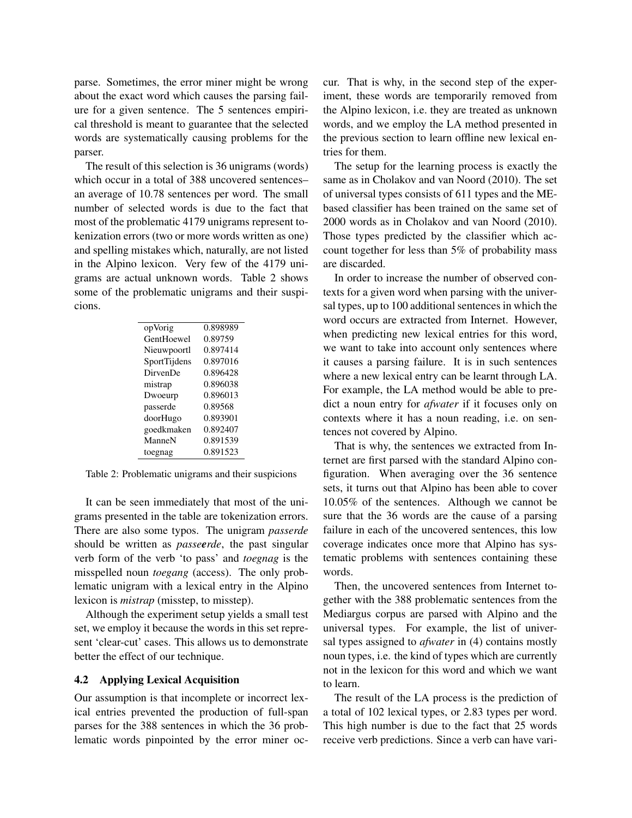parse. Sometimes, the error miner might be wrong about the exact word which causes the parsing failure for a given sentence. The 5 sentences empirical threshold is meant to guarantee that the selected words are systematically causing problems for the parser.

The result of this selection is 36 unigrams (words) which occur in a total of 388 uncovered sentences– an average of 10.78 sentences per word. The small number of selected words is due to the fact that most of the problematic 4179 unigrams represent tokenization errors (two or more words written as one) and spelling mistakes which, naturally, are not listed in the Alpino lexicon. Very few of the 4179 unigrams are actual unknown words. Table 2 shows some of the problematic unigrams and their suspicions.

| opVorig         | 0.898989 |
|-----------------|----------|
| GentHoewel      | 0.89759  |
| Nieuwpoortl     | 0.897414 |
| SportTijdens    | 0.897016 |
| <b>DirvenDe</b> | 0.896428 |
| mistrap         | 0.896038 |
| Dwoeurp         | 0.896013 |
| passerde        | 0.89568  |
| doorHugo        | 0.893901 |
| goedkmaken      | 0.892407 |
| ManneN          | 0.891539 |
| toegnag         | 0.891523 |

Table 2: Problematic unigrams and their suspicions

It can be seen immediately that most of the unigrams presented in the table are tokenization errors. There are also some typos. The unigram *passerde* should be written as *passeerde*, the past singular verb form of the verb 'to pass' and *toegnag* is the misspelled noun *toegang* (access). The only problematic unigram with a lexical entry in the Alpino lexicon is *mistrap* (misstep, to misstep).

Although the experiment setup yields a small test set, we employ it because the words in this set represent 'clear-cut' cases. This allows us to demonstrate better the effect of our technique.

### 4.2 Applying Lexical Acquisition

Our assumption is that incomplete or incorrect lexical entries prevented the production of full-span parses for the 388 sentences in which the 36 problematic words pinpointed by the error miner occur. That is why, in the second step of the experiment, these words are temporarily removed from the Alpino lexicon, i.e. they are treated as unknown words, and we employ the LA method presented in the previous section to learn offline new lexical entries for them.

The setup for the learning process is exactly the same as in Cholakov and van Noord (2010). The set of universal types consists of 611 types and the MEbased classifier has been trained on the same set of 2000 words as in Cholakov and van Noord (2010). Those types predicted by the classifier which account together for less than 5% of probability mass are discarded.

In order to increase the number of observed contexts for a given word when parsing with the universal types, up to 100 additional sentences in which the word occurs are extracted from Internet. However, when predicting new lexical entries for this word, we want to take into account only sentences where it causes a parsing failure. It is in such sentences where a new lexical entry can be learnt through LA. For example, the LA method would be able to predict a noun entry for *afwater* if it focuses only on contexts where it has a noun reading, i.e. on sentences not covered by Alpino.

That is why, the sentences we extracted from Internet are first parsed with the standard Alpino configuration. When averaging over the 36 sentence sets, it turns out that Alpino has been able to cover 10.05% of the sentences. Although we cannot be sure that the 36 words are the cause of a parsing failure in each of the uncovered sentences, this low coverage indicates once more that Alpino has systematic problems with sentences containing these words.

Then, the uncovered sentences from Internet together with the 388 problematic sentences from the Mediargus corpus are parsed with Alpino and the universal types. For example, the list of universal types assigned to *afwater* in (4) contains mostly noun types, i.e. the kind of types which are currently not in the lexicon for this word and which we want to learn.

The result of the LA process is the prediction of a total of 102 lexical types, or 2.83 types per word. This high number is due to the fact that 25 words receive verb predictions. Since a verb can have vari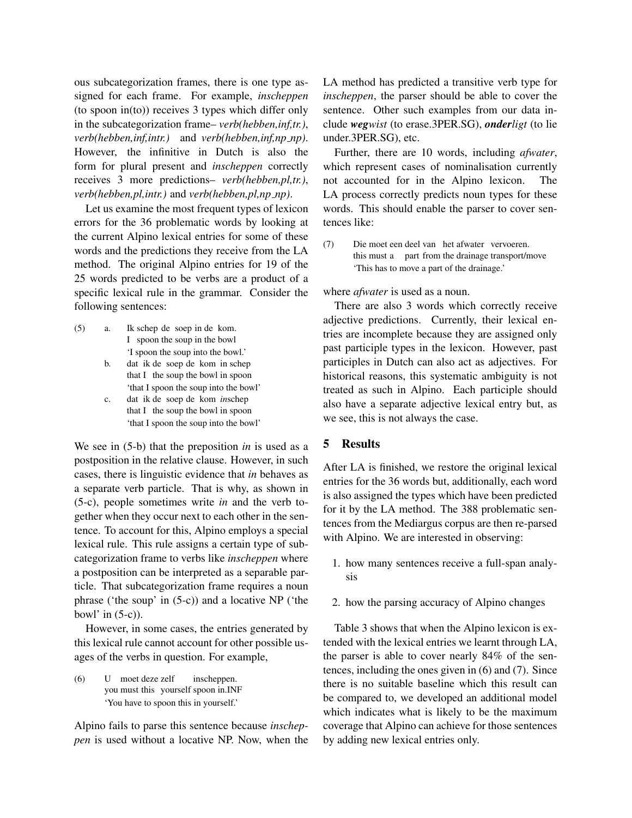ous subcategorization frames, there is one type assigned for each frame. For example, *inscheppen* (to spoon in(to)) receives 3 types which differ only in the subcategorization frame– *verb(hebben,inf,tr.)*, *verb(hebben,inf,intr.)* and *verb(hebben,inf,np np)*. However, the infinitive in Dutch is also the form for plural present and *inscheppen* correctly receives 3 more predictions– *verb(hebben,pl,tr.)*, *verb(hebben,pl,intr.)* and *verb(hebben,pl,np np)*.

Let us examine the most frequent types of lexicon errors for the 36 problematic words by looking at the current Alpino lexical entries for some of these words and the predictions they receive from the LA method. The original Alpino entries for 19 of the 25 words predicted to be verbs are a product of a specific lexical rule in the grammar. Consider the following sentences:

- $(5)$  a. I spoon the soup in the bowl schep de soep in de kom. 'I spoon the soup into the bowl.' b. dat ik de soep de kom in schep
	- that I the soup the bowl in spoon 'that I spoon the soup into the bowl' c. dat ik de soep de kom *in*schep
	- that I the soup the bowl in spoon 'that I spoon the soup into the bowl'

We see in (5-b) that the preposition *in* is used as a postposition in the relative clause. However, in such cases, there is linguistic evidence that *in* behaves as a separate verb particle. That is why, as shown in (5-c), people sometimes write *in* and the verb together when they occur next to each other in the sentence. To account for this, Alpino employs a special lexical rule. This rule assigns a certain type of subcategorization frame to verbs like *inscheppen* where a postposition can be interpreted as a separable particle. That subcategorization frame requires a noun phrase ('the soup' in (5-c)) and a locative NP ('the bowl' in  $(5-c)$ ).

However, in some cases, the entries generated by this lexical rule cannot account for other possible usages of the verbs in question. For example,

 $(6)$ you must this yourself spoon in.INF moet deze zelf inscheppen. 'You have to spoon this in yourself.'

Alpino fails to parse this sentence because *inscheppen* is used without a locative NP. Now, when the LA method has predicted a transitive verb type for *inscheppen*, the parser should be able to cover the sentence. Other such examples from our data include *wegwist* (to erase.3PER.SG), *onderligt* (to lie under.3PER.SG), etc.

Further, there are 10 words, including *afwater*, which represent cases of nominalisation currently not accounted for in the Alpino lexicon. The LA process correctly predicts noun types for these words. This should enable the parser to cover sentences like:

(7) Die moet een deel van het afwater vervoeren. this must a part from the drainage transport/move 'This has to move a part of the drainage.'

where *afwater* is used as a noun.

There are also 3 words which correctly receive adjective predictions. Currently, their lexical entries are incomplete because they are assigned only past participle types in the lexicon. However, past participles in Dutch can also act as adjectives. For historical reasons, this systematic ambiguity is not treated as such in Alpino. Each participle should also have a separate adjective lexical entry but, as we see, this is not always the case.

## 5 Results

After LA is finished, we restore the original lexical entries for the 36 words but, additionally, each word is also assigned the types which have been predicted for it by the LA method. The 388 problematic sentences from the Mediargus corpus are then re-parsed with Alpino. We are interested in observing:

- 1. how many sentences receive a full-span analysis
- 2. how the parsing accuracy of Alpino changes

Table 3 shows that when the Alpino lexicon is extended with the lexical entries we learnt through LA, the parser is able to cover nearly 84% of the sentences, including the ones given in (6) and (7). Since there is no suitable baseline which this result can be compared to, we developed an additional model which indicates what is likely to be the maximum coverage that Alpino can achieve for those sentences by adding new lexical entries only.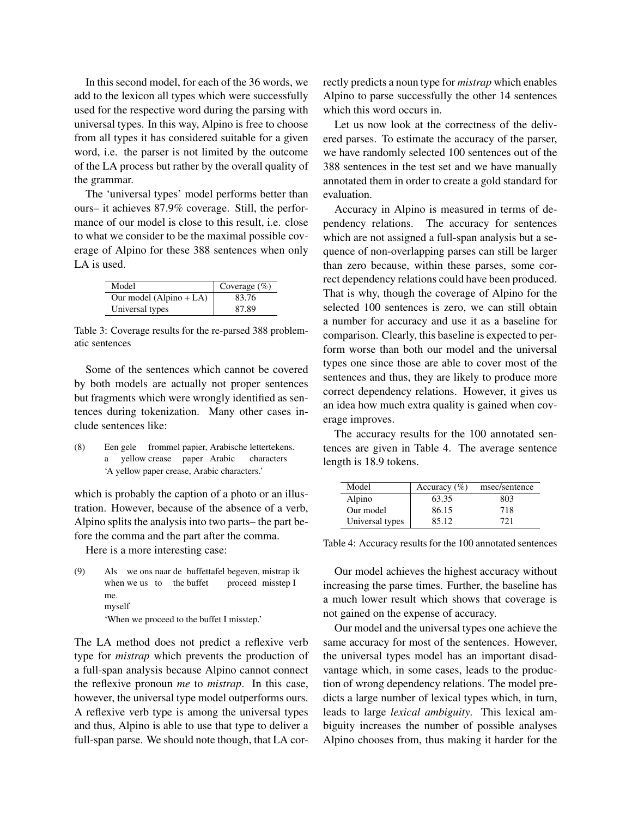In this second model, for each of the 36 words, we add to the lexicon all types which were successfully used for the respective word during the parsing with universal types. In this way, Alpino is free to choose from all types it has considered suitable for a given word, i.e. the parser is not limited by the outcome of the LA process but rather by the overall quality of the grammar.

The 'universal types' model performs better than ours– it achieves 87.9% coverage. Still, the performance of our model is close to this result, i.e. close to what we consider to be the maximal possible coverage of Alpino for these 388 sentences when only LA is used.

| Model                   | Coverage $(\% )$ |
|-------------------------|------------------|
| Our model (Alpino + LA) | 83.76            |
| Universal types         | 87.89            |

Table 3: Coverage results for the re-parsed 388 problematic sentences

Some of the sentences which cannot be covered by both models are actually not proper sentences but fragments which were wrongly identified as sentences during tokenization. Many other cases include sentences like:

(8) Een gele frommel papier, Arabische lettertekens. a yellow crease paper Arabic characters 'A yellow paper crease, Arabic characters.'

which is probably the caption of a photo or an illustration. However, because of the absence of a verb, Alpino splits the analysis into two parts– the part before the comma and the part after the comma.

Here is a more interesting case:

(9) Als we ons naar de buffettafel begeven, mistrap ik when we us to the buffet proceed misstep I me. myself 'When we proceed to the buffet I misstep.'

The LA method does not predict a reflexive verb type for *mistrap* which prevents the production of a full-span analysis because Alpino cannot connect the reflexive pronoun *me* to *mistrap*. In this case, however, the universal type model outperforms ours. A reflexive verb type is among the universal types and thus, Alpino is able to use that type to deliver a full-span parse. We should note though, that LA correctly predicts a noun type for *mistrap* which enables Alpino to parse successfully the other 14 sentences which this word occurs in.

Let us now look at the correctness of the delivered parses. To estimate the accuracy of the parser, we have randomly selected 100 sentences out of the 388 sentences in the test set and we have manually annotated them in order to create a gold standard for evaluation.

Accuracy in Alpino is measured in terms of dependency relations. The accuracy for sentences which are not assigned a full-span analysis but a sequence of non-overlapping parses can still be larger than zero because, within these parses, some correct dependency relations could have been produced. That is why, though the coverage of Alpino for the selected 100 sentences is zero, we can still obtain a number for accuracy and use it as a baseline for comparison. Clearly, this baseline is expected to perform worse than both our model and the universal types one since those are able to cover most of the sentences and thus, they are likely to produce more correct dependency relations. However, it gives us an idea how much extra quality is gained when coverage improves.

The accuracy results for the 100 annotated sentences are given in Table 4. The average sentence length is 18.9 tokens.

| Model           | Accuracy $(\% )$ | msec/sentence |
|-----------------|------------------|---------------|
| Alpino          | 63.35            | 803           |
| Our model       | 86.15            | 718           |
| Universal types | 85.12            | 721           |

Table 4: Accuracy results for the 100 annotated sentences

Our model achieves the highest accuracy without increasing the parse times. Further, the baseline has a much lower result which shows that coverage is not gained on the expense of accuracy.

Our model and the universal types one achieve the same accuracy for most of the sentences. However, the universal types model has an important disadvantage which, in some cases, leads to the production of wrong dependency relations. The model predicts a large number of lexical types which, in turn, leads to large *lexical ambiguity*. This lexical ambiguity increases the number of possible analyses Alpino chooses from, thus making it harder for the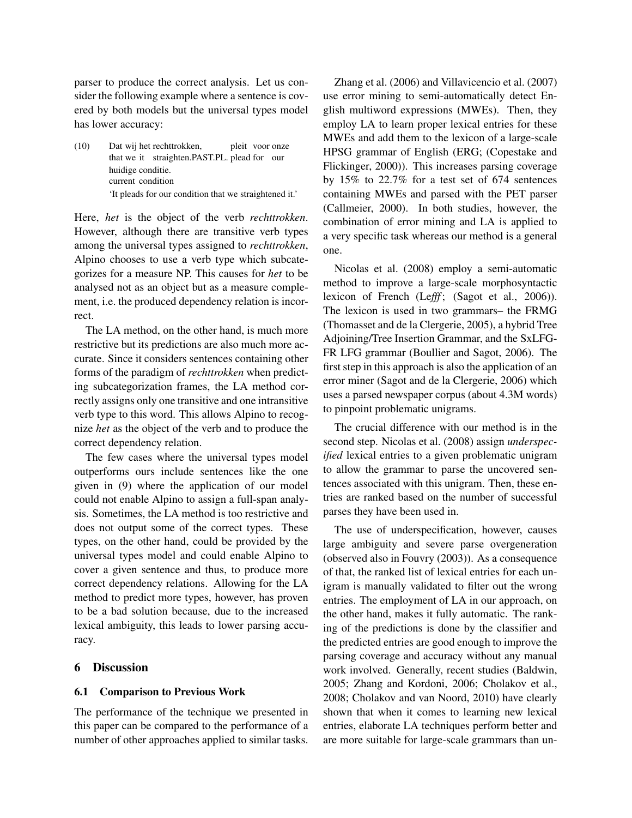parser to produce the correct analysis. Let us consider the following example where a sentence is covered by both models but the universal types model has lower accuracy:

(10) Dat wij het rechttrokken, that we it straighten.PAST.PL. plead for our pleit voor onze huidige conditie. current condition 'It pleads for our condition that we straightened it.'

Here, *het* is the object of the verb *rechttrokken*. However, although there are transitive verb types among the universal types assigned to *rechttrokken*, Alpino chooses to use a verb type which subcategorizes for a measure NP. This causes for *het* to be analysed not as an object but as a measure complement, i.e. the produced dependency relation is incorrect.

The LA method, on the other hand, is much more restrictive but its predictions are also much more accurate. Since it considers sentences containing other forms of the paradigm of *rechttrokken* when predicting subcategorization frames, the LA method correctly assigns only one transitive and one intransitive verb type to this word. This allows Alpino to recognize *het* as the object of the verb and to produce the correct dependency relation.

The few cases where the universal types model outperforms ours include sentences like the one given in (9) where the application of our model could not enable Alpino to assign a full-span analysis. Sometimes, the LA method is too restrictive and does not output some of the correct types. These types, on the other hand, could be provided by the universal types model and could enable Alpino to cover a given sentence and thus, to produce more correct dependency relations. Allowing for the LA method to predict more types, however, has proven to be a bad solution because, due to the increased lexical ambiguity, this leads to lower parsing accuracy.

### 6 Discussion

### 6.1 Comparison to Previous Work

The performance of the technique we presented in this paper can be compared to the performance of a number of other approaches applied to similar tasks.

Zhang et al. (2006) and Villavicencio et al. (2007) use error mining to semi-automatically detect English multiword expressions (MWEs). Then, they employ LA to learn proper lexical entries for these MWEs and add them to the lexicon of a large-scale HPSG grammar of English (ERG; (Copestake and Flickinger, 2000)). This increases parsing coverage by 15% to 22.7% for a test set of 674 sentences containing MWEs and parsed with the PET parser (Callmeier, 2000). In both studies, however, the combination of error mining and LA is applied to a very specific task whereas our method is a general one.

Nicolas et al. (2008) employ a semi-automatic method to improve a large-scale morphosyntactic lexicon of French (Lefff; (Sagot et al., 2006)). The lexicon is used in two grammars– the FRMG (Thomasset and de la Clergerie, 2005), a hybrid Tree Adjoining/Tree Insertion Grammar, and the SxLFG-FR LFG grammar (Boullier and Sagot, 2006). The first step in this approach is also the application of an error miner (Sagot and de la Clergerie, 2006) which uses a parsed newspaper corpus (about 4.3M words) to pinpoint problematic unigrams.

The crucial difference with our method is in the second step. Nicolas et al. (2008) assign *underspecified* lexical entries to a given problematic unigram to allow the grammar to parse the uncovered sentences associated with this unigram. Then, these entries are ranked based on the number of successful parses they have been used in.

The use of underspecification, however, causes large ambiguity and severe parse overgeneration (observed also in Fouvry (2003)). As a consequence of that, the ranked list of lexical entries for each unigram is manually validated to filter out the wrong entries. The employment of LA in our approach, on the other hand, makes it fully automatic. The ranking of the predictions is done by the classifier and the predicted entries are good enough to improve the parsing coverage and accuracy without any manual work involved. Generally, recent studies (Baldwin, 2005; Zhang and Kordoni, 2006; Cholakov et al., 2008; Cholakov and van Noord, 2010) have clearly shown that when it comes to learning new lexical entries, elaborate LA techniques perform better and are more suitable for large-scale grammars than un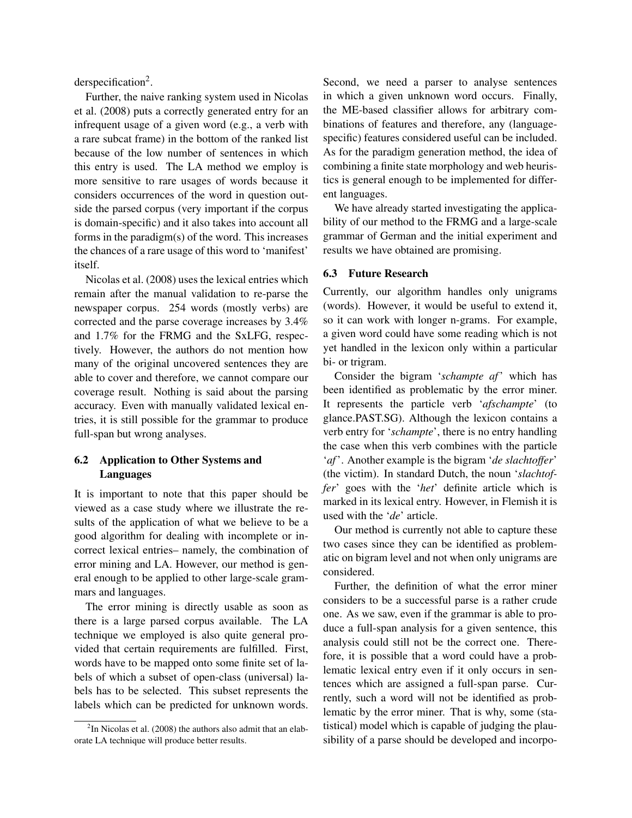derspecification<sup>2</sup>.

Further, the naive ranking system used in Nicolas et al. (2008) puts a correctly generated entry for an infrequent usage of a given word (e.g., a verb with a rare subcat frame) in the bottom of the ranked list because of the low number of sentences in which this entry is used. The LA method we employ is more sensitive to rare usages of words because it considers occurrences of the word in question outside the parsed corpus (very important if the corpus is domain-specific) and it also takes into account all forms in the paradigm(s) of the word. This increases the chances of a rare usage of this word to 'manifest' itself.

Nicolas et al. (2008) uses the lexical entries which remain after the manual validation to re-parse the newspaper corpus. 254 words (mostly verbs) are corrected and the parse coverage increases by 3.4% and 1.7% for the FRMG and the SxLFG, respectively. However, the authors do not mention how many of the original uncovered sentences they are able to cover and therefore, we cannot compare our coverage result. Nothing is said about the parsing accuracy. Even with manually validated lexical entries, it is still possible for the grammar to produce full-span but wrong analyses.

## 6.2 Application to Other Systems and Languages

It is important to note that this paper should be viewed as a case study where we illustrate the results of the application of what we believe to be a good algorithm for dealing with incomplete or incorrect lexical entries– namely, the combination of error mining and LA. However, our method is general enough to be applied to other large-scale grammars and languages.

The error mining is directly usable as soon as there is a large parsed corpus available. The LA technique we employed is also quite general provided that certain requirements are fulfilled. First, words have to be mapped onto some finite set of labels of which a subset of open-class (universal) labels has to be selected. This subset represents the labels which can be predicted for unknown words. Second, we need a parser to analyse sentences in which a given unknown word occurs. Finally, the ME-based classifier allows for arbitrary combinations of features and therefore, any (languagespecific) features considered useful can be included. As for the paradigm generation method, the idea of combining a finite state morphology and web heuristics is general enough to be implemented for different languages.

We have already started investigating the applicability of our method to the FRMG and a large-scale grammar of German and the initial experiment and results we have obtained are promising.

### 6.3 Future Research

Currently, our algorithm handles only unigrams (words). However, it would be useful to extend it, so it can work with longer n-grams. For example, a given word could have some reading which is not yet handled in the lexicon only within a particular bi- or trigram.

Consider the bigram '*schampte af*' which has been identified as problematic by the error miner. It represents the particle verb '*afschampte*' (to glance.PAST.SG). Although the lexicon contains a verb entry for '*schampte*', there is no entry handling the case when this verb combines with the particle '*af*'. Another example is the bigram '*de slachtoffer*' (the victim). In standard Dutch, the noun '*slachtoffer*' goes with the '*het*' definite article which is marked in its lexical entry. However, in Flemish it is used with the '*de*' article.

Our method is currently not able to capture these two cases since they can be identified as problematic on bigram level and not when only unigrams are considered.

Further, the definition of what the error miner considers to be a successful parse is a rather crude one. As we saw, even if the grammar is able to produce a full-span analysis for a given sentence, this analysis could still not be the correct one. Therefore, it is possible that a word could have a problematic lexical entry even if it only occurs in sentences which are assigned a full-span parse. Currently, such a word will not be identified as problematic by the error miner. That is why, some (statistical) model which is capable of judging the plausibility of a parse should be developed and incorpo-

 $2$ In Nicolas et al. (2008) the authors also admit that an elaborate LA technique will produce better results.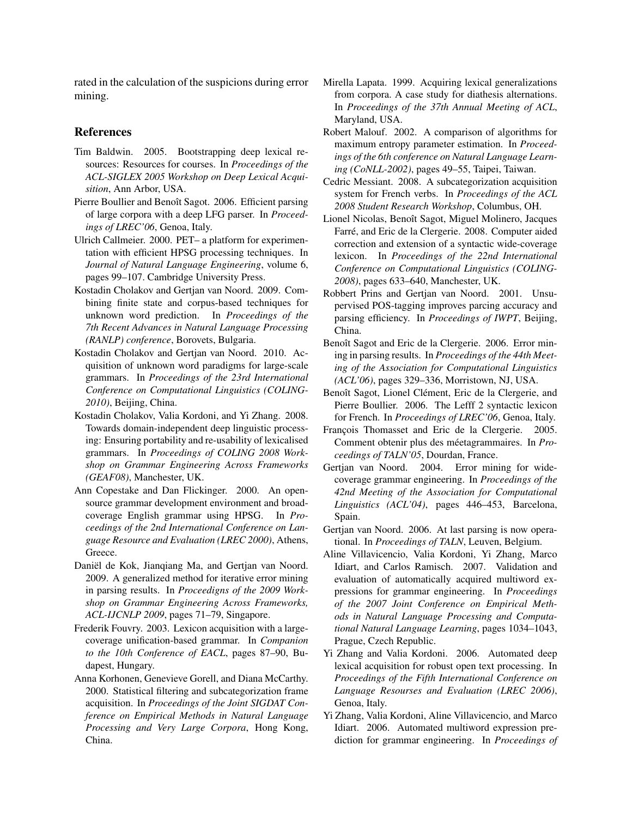rated in the calculation of the suspicions during error mining.

### **References**

- Tim Baldwin. 2005. Bootstrapping deep lexical resources: Resources for courses. In *Proceedings of the ACL-SIGLEX 2005 Workshop on Deep Lexical Acquisition*, Ann Arbor, USA.
- Pierre Boullier and Benoît Sagot. 2006. Efficient parsing of large corpora with a deep LFG parser. In *Proceedings of LREC'06*, Genoa, Italy.
- Ulrich Callmeier. 2000. PET– a platform for experimentation with efficient HPSG processing techniques. In *Journal of Natural Language Engineering*, volume 6, pages 99–107. Cambridge University Press.
- Kostadin Cholakov and Gertjan van Noord. 2009. Combining finite state and corpus-based techniques for unknown word prediction. In *Proceedings of the 7th Recent Advances in Natural Language Processing (RANLP) conference*, Borovets, Bulgaria.
- Kostadin Cholakov and Gertjan van Noord. 2010. Acquisition of unknown word paradigms for large-scale grammars. In *Proceedings of the 23rd International Conference on Computational Linguistics (COLING-2010)*, Beijing, China.
- Kostadin Cholakov, Valia Kordoni, and Yi Zhang. 2008. Towards domain-independent deep linguistic processing: Ensuring portability and re-usability of lexicalised grammars. In *Proceedings of COLING 2008 Workshop on Grammar Engineering Across Frameworks (GEAF08)*, Manchester, UK.
- Ann Copestake and Dan Flickinger. 2000. An opensource grammar development environment and broadcoverage English grammar using HPSG. In *Proceedings of the 2nd International Conference on Language Resource and Evaluation (LREC 2000)*, Athens, Greece.
- Daniël de Kok, Jianqiang Ma, and Gertjan van Noord. 2009. A generalized method for iterative error mining in parsing results. In *Proceedigns of the 2009 Workshop on Grammar Engineering Across Frameworks, ACL-IJCNLP 2009*, pages 71–79, Singapore.
- Frederik Fouvry. 2003. Lexicon acquisition with a largecoverage unification-based grammar. In *Companion to the 10th Conference of EACL*, pages 87–90, Budapest, Hungary.
- Anna Korhonen, Genevieve Gorell, and Diana McCarthy. 2000. Statistical filtering and subcategorization frame acquisition. In *Proceedings of the Joint SIGDAT Conference on Empirical Methods in Natural Language Processing and Very Large Corpora*, Hong Kong, China.
- Mirella Lapata. 1999. Acquiring lexical generalizations from corpora. A case study for diathesis alternations. In *Proceedings of the 37th Annual Meeting of ACL*, Maryland, USA.
- Robert Malouf. 2002. A comparison of algorithms for maximum entropy parameter estimation. In *Proceedings of the 6th conference on Natural Language Learning (CoNLL-2002)*, pages 49–55, Taipei, Taiwan.
- Cedric Messiant. 2008. A subcategorization acquisition system for French verbs. In *Proceedings of the ACL 2008 Student Research Workshop*, Columbus, OH.
- Lionel Nicolas, Benoît Sagot, Miguel Molinero, Jacques Farré, and Eric de la Clergerie. 2008. Computer aided correction and extension of a syntactic wide-coverage lexicon. In *Proceedings of the 22nd International Conference on Computational Linguistics (COLING-2008)*, pages 633–640, Manchester, UK.
- Robbert Prins and Gertjan van Noord. 2001. Unsupervised POS-tagging improves parcing accuracy and parsing efficiency. In *Proceedings of IWPT*, Beijing, China.
- Benoît Sagot and Eric de la Clergerie. 2006. Error mining in parsing results. In *Proceedings of the 44th Meeting of the Association for Computational Linguistics (ACL'06)*, pages 329–336, Morristown, NJ, USA.
- Benoît Sagot, Lionel Clément, Eric de la Clergerie, and Pierre Boullier. 2006. The Lefff 2 syntactic lexicon for French. In *Proceedings of LREC'06*, Genoa, Italy.
- François Thomasset and Eric de la Clergerie. 2005. Comment obtenir plus des méetagrammaires. In Pro*ceedings of TALN'05*, Dourdan, France.
- Gertjan van Noord. 2004. Error mining for widecoverage grammar engineering. In *Proceedings of the 42nd Meeting of the Association for Computational Linguistics (ACL'04)*, pages 446–453, Barcelona, Spain.
- Gertjan van Noord. 2006. At last parsing is now operational. In *Proceedings of TALN*, Leuven, Belgium.
- Aline Villavicencio, Valia Kordoni, Yi Zhang, Marco Idiart, and Carlos Ramisch. 2007. Validation and evaluation of automatically acquired multiword expressions for grammar engineering. In *Proceedings of the 2007 Joint Conference on Empirical Methods in Natural Language Processing and Computational Natural Language Learning*, pages 1034–1043, Prague, Czech Republic.
- Yi Zhang and Valia Kordoni. 2006. Automated deep lexical acquisition for robust open text processing. In *Proceedings of the Fifth International Conference on Language Resourses and Evaluation (LREC 2006)*, Genoa, Italy.
- Yi Zhang, Valia Kordoni, Aline Villavicencio, and Marco Idiart. 2006. Automated multiword expression prediction for grammar engineering. In *Proceedings of*